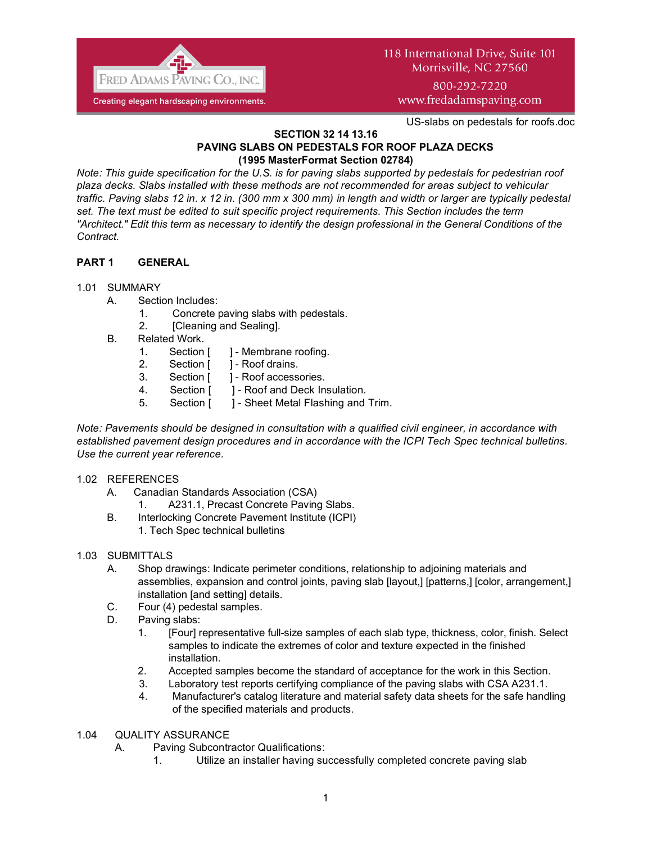

# 118 International Drive, Suite 101 Morrisville, NC 27560

800-292-7220 www.fredadamspaving.com

US-slabs on pedestals for roofs.doc

#### **SECTION 32 14 13.16 PAVING SLABS ON PEDESTALS FOR ROOF PLAZA DECKS (1995 MasterFormat Section 02784)**

*Note: This guide specification for the U.S. is for paving slabs supported by pedestals for pedestrian roof plaza decks. Slabs installed with these methods are not recommended for areas subject to vehicular traffic. Paving slabs 12 in. x 12 in. (300 mm x 300 mm) in length and width or larger are typically pedestal set. The text must be edited to suit specific project requirements*. *This Section includes the term "Architect." Edit this term as necessary to identify the design professional in the General Conditions of the Contract.*

# **PART 1 GENERAL**

## 1.01 SUMMARY

- A. Section Includes:
	- 1. Concrete paving slabs with pedestals.
	- 2. [Cleaning and Sealing].
- B. Related Work.
	- 1. Section [ ] Membrane roofing.
	- 2. Section [ ] Roof drains.
	- 3. Section [ ] Roof accessories.
	- 4. Section [ ] Roof and Deck Insulation.
	- 5. Section [ ] Sheet Metal Flashing and Trim.

*Note: Pavements should be designed in consultation with a qualified civil engineer, in accordance with established pavement design procedures and in accordance with the ICPI Tech Spec technical bulletins. Use the current year reference.*

#### 1.02 REFERENCES

- A. Canadian Standards Association (CSA)
	- 1. A231.1, Precast Concrete Paving Slabs.
- B. Interlocking Concrete Pavement Institute (ICPI)
	- 1. Tech Spec technical bulletins

# 1.03 SUBMITTALS

- A. Shop drawings: Indicate perimeter conditions, relationship to adjoining materials and assemblies, expansion and control joints, paving slab [layout,] [patterns,] [color, arrangement,] installation [and setting] details.
- C. Four (4) pedestal samples.
- D. Paving slabs:
	- 1. [Four] representative full-size samples of each slab type, thickness, color, finish. Select samples to indicate the extremes of color and texture expected in the finished installation.
	- 2. Accepted samples become the standard of acceptance for the work in this Section.
	- 3. Laboratory test reports certifying compliance of the paving slabs with CSA A231.1.
	- 4. Manufacturer's catalog literature and material safety data sheets for the safe handling of the specified materials and products.

#### 1.04 QUALITY ASSURANCE

- A. Paving Subcontractor Qualifications:
	- 1. Utilize an installer having successfully completed concrete paving slab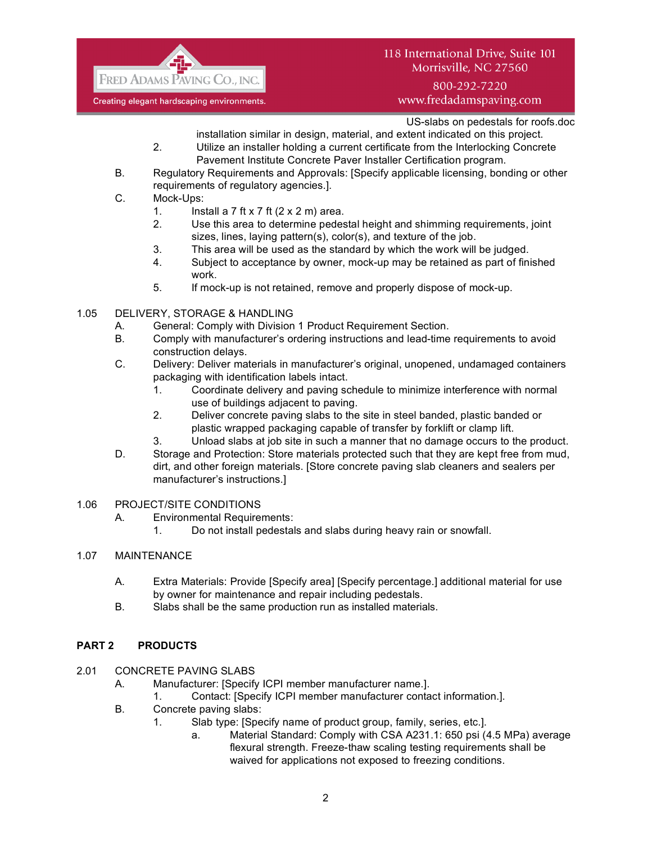

## 118 International Drive, Suite 101 Morrisville, NC 27560

800-292-7220 www.fredadamspaving.com

US-slabs on pedestals for roofs.doc

installation similar in design, material, and extent indicated on this project.

- 2. Utilize an installer holding a current certificate from the Interlocking Concrete Pavement Institute Concrete Paver Installer Certification program.
- B. Regulatory Requirements and Approvals: [Specify applicable licensing, bonding or other requirements of regulatory agencies.].
- C. Mock-Ups:
	- 1. Install a 7 ft x 7 ft  $(2 \times 2 \text{ m})$  area.
	- 2. Use this area to determine pedestal height and shimming requirements, joint sizes, lines, laying pattern(s), color(s), and texture of the job.
	- 3. This area will be used as the standard by which the work will be judged.
	- 4. Subject to acceptance by owner, mock-up may be retained as part of finished work.
	- 5. If mock-up is not retained, remove and properly dispose of mock-up.

#### 1.05 DELIVERY, STORAGE & HANDLING

- A. General: Comply with Division 1 Product Requirement Section.
- B. Comply with manufacturer's ordering instructions and lead-time requirements to avoid construction delays.
- C. Delivery: Deliver materials in manufacturer's original, unopened, undamaged containers packaging with identification labels intact.
	- 1. Coordinate delivery and paving schedule to minimize interference with normal use of buildings adjacent to paving.
	- 2. Deliver concrete paving slabs to the site in steel banded, plastic banded or plastic wrapped packaging capable of transfer by forklift or clamp lift.
	- 3. Unload slabs at job site in such a manner that no damage occurs to the product.
- D. Storage and Protection: Store materials protected such that they are kept free from mud, dirt, and other foreign materials. [Store concrete paving slab cleaners and sealers per manufacturer's instructions.]
- 1.06 PROJECT/SITE CONDITIONS
	- A. Environmental Requirements:
		- 1. Do not install pedestals and slabs during heavy rain or snowfall.

## 1.07 MAINTENANCE

- A. Extra Materials: Provide [Specify area] [Specify percentage.] additional material for use by owner for maintenance and repair including pedestals.
- B. Slabs shall be the same production run as installed materials.

#### **PART 2 PRODUCTS**

- 2.01 CONCRETE PAVING SLABS
	- A. Manufacturer: [Specify ICPI member manufacturer name.].
		- 1. Contact: [Specify ICPI member manufacturer contact information.].
	- B. Concrete paving slabs:
		- 1. Slab type: [Specify name of product group, family, series, etc.].
			- a. Material Standard: Comply with CSA A231.1: 650 psi (4.5 MPa) average flexural strength. Freeze-thaw scaling testing requirements shall be waived for applications not exposed to freezing conditions.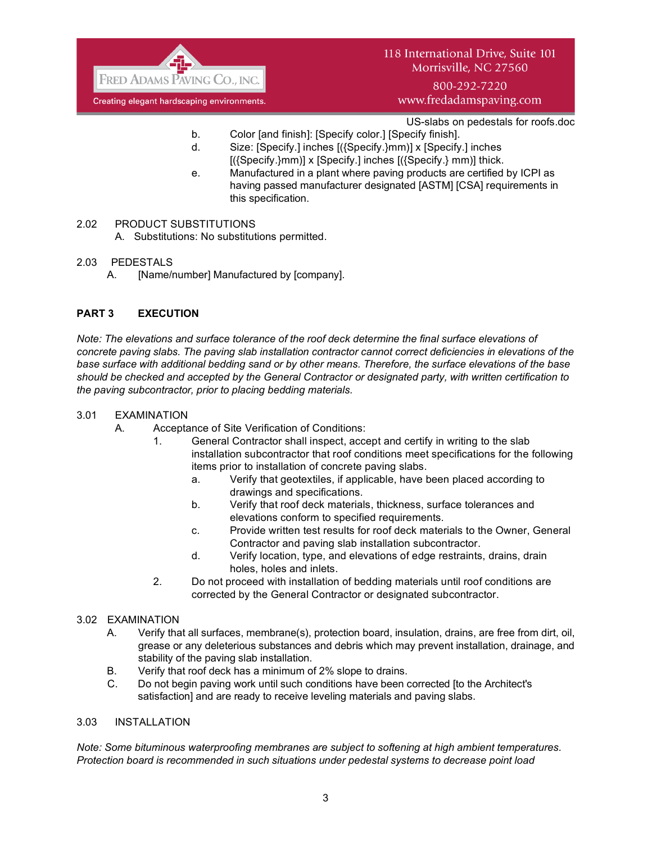

800-292-7220 www.fredadamspaving.com

US-slabs on pedestals for roofs.doc

- b. Color [and finish]: [Specify color.] [Specify finish].
- d. Size: [Specify.] inches [({Specify.}mm)] x [Specify.] inches  $[($ {Specify.}mm)] x [Specify.] inches  $[($ {Specify.} mm)] thick.
- e. Manufactured in a plant where paving products are certified by ICPI as having passed manufacturer designated [ASTM] [CSA] requirements in this specification.
- 2.02 PRODUCT SUBSTITUTIONS
	- A. Substitutions: No substitutions permitted.
- 2.03 PEDESTALS
	- A. [Name/number] Manufactured by [company].

#### **PART 3 EXECUTION**

*Note: The elevations and surface tolerance of the roof deck determine the final surface elevations of concrete paving slabs. The paving slab installation contractor cannot correct deficiencies in elevations of the base surface with additional bedding sand or by other means. Therefore, the surface elevations of the base should be checked and accepted by the General Contractor or designated party, with written certification to the paving subcontractor, prior to placing bedding materials.*

#### 3.01 EXAMINATION

- A. Acceptance of Site Verification of Conditions:
	- 1. General Contractor shall inspect, accept and certify in writing to the slab installation subcontractor that roof conditions meet specifications for the following items prior to installation of concrete paving slabs.
		- a. Verify that geotextiles, if applicable, have been placed according to drawings and specifications.
		- b. Verify that roof deck materials, thickness, surface tolerances and elevations conform to specified requirements.
		- c. Provide written test results for roof deck materials to the Owner, General Contractor and paving slab installation subcontractor.
		- d. Verify location, type, and elevations of edge restraints, drains, drain holes, holes and inlets.
	- 2. Do not proceed with installation of bedding materials until roof conditions are corrected by the General Contractor or designated subcontractor.

#### 3.02 EXAMINATION

- A. Verify that all surfaces, membrane(s), protection board, insulation, drains, are free from dirt, oil, grease or any deleterious substances and debris which may prevent installation, drainage, and stability of the paving slab installation.
- B. Verify that roof deck has a minimum of 2% slope to drains.
- C. Do not begin paving work until such conditions have been corrected [to the Architect's satisfaction] and are ready to receive leveling materials and paving slabs.

### 3.03 INSTALLATION

*Note: Some bituminous waterproofing membranes are subject to softening at high ambient temperatures. Protection board is recommended in such situations under pedestal systems to decrease point load*